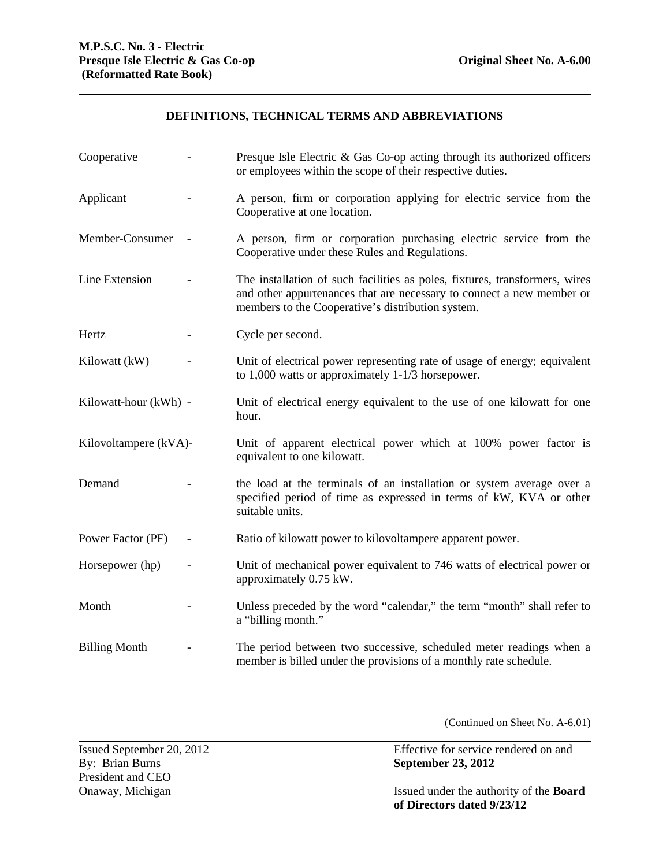## **DEFINITIONS, TECHNICAL TERMS AND ABBREVIATIONS**

| Cooperative           | Presque Isle Electric & Gas Co-op acting through its authorized officers<br>or employees within the scope of their respective duties.                                                                     |
|-----------------------|-----------------------------------------------------------------------------------------------------------------------------------------------------------------------------------------------------------|
| Applicant             | A person, firm or corporation applying for electric service from the<br>Cooperative at one location.                                                                                                      |
| Member-Consumer       | A person, firm or corporation purchasing electric service from the<br>Cooperative under these Rules and Regulations.                                                                                      |
| Line Extension        | The installation of such facilities as poles, fixtures, transformers, wires<br>and other appurtenances that are necessary to connect a new member or<br>members to the Cooperative's distribution system. |
| Hertz                 | Cycle per second.                                                                                                                                                                                         |
| Kilowatt (kW)         | Unit of electrical power representing rate of usage of energy; equivalent<br>to $1,000$ watts or approximately $1-1/3$ horsepower.                                                                        |
| Kilowatt-hour (kWh) - | Unit of electrical energy equivalent to the use of one kilowatt for one<br>hour.                                                                                                                          |
| Kilovoltampere (kVA)- | Unit of apparent electrical power which at 100% power factor is<br>equivalent to one kilowatt.                                                                                                            |
| Demand                | the load at the terminals of an installation or system average over a<br>specified period of time as expressed in terms of kW, KVA or other<br>suitable units.                                            |
| Power Factor (PF)     | Ratio of kilowatt power to kilovoltampere apparent power.                                                                                                                                                 |
| Horsepower (hp)       | Unit of mechanical power equivalent to 746 watts of electrical power or<br>approximately 0.75 kW.                                                                                                         |
| Month                 | Unless preceded by the word "calendar," the term "month" shall refer to<br>a "billing month."                                                                                                             |
| <b>Billing Month</b>  | The period between two successive, scheduled meter readings when a<br>member is billed under the provisions of a monthly rate schedule.                                                                   |

(Continued on Sheet No. A-6.01)

President and CEO<br>Onaway, Michigan

Issued September 20, 2012<br>By: Brian Burns<br>By: Brian Burns<br>By: Brian Burns By: Brian Burns **September 23, 2012** 

> Issued under the authority of the **Board of Directors dated 9/23/12**